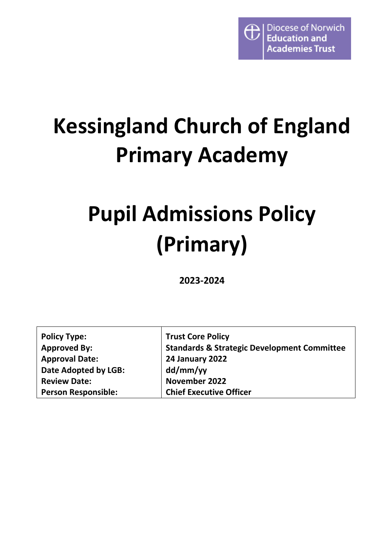

## **Kessingland Church of England Primary Academy**

# **Pupil Admissions Policy (Primary)**

**2023-2024**

| <b>Policy Type:</b>        | <b>Trust Core Policy</b>                               |
|----------------------------|--------------------------------------------------------|
| <b>Approved By:</b>        | <b>Standards &amp; Strategic Development Committee</b> |
| <b>Approval Date:</b>      | <b>24 January 2022</b>                                 |
| Date Adopted by LGB:       | dd/mm/yy                                               |
| <b>Review Date:</b>        | November 2022                                          |
| <b>Person Responsible:</b> | <b>Chief Executive Officer</b>                         |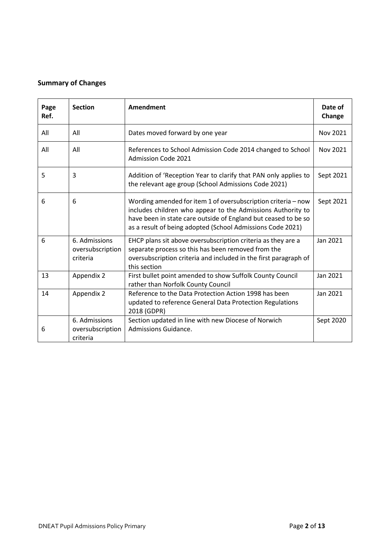## <span id="page-1-0"></span>**Summary of Changes**

| Page<br>Ref. | <b>Section</b>                                | Amendment                                                                                                                                                                                                                                                    | Date of<br>Change |
|--------------|-----------------------------------------------|--------------------------------------------------------------------------------------------------------------------------------------------------------------------------------------------------------------------------------------------------------------|-------------------|
| All          | All                                           | Dates moved forward by one year                                                                                                                                                                                                                              | Nov 2021          |
| All          | All                                           | References to School Admission Code 2014 changed to School<br><b>Admission Code 2021</b>                                                                                                                                                                     | Nov 2021          |
| 5            | 3                                             | Addition of 'Reception Year to clarify that PAN only applies to<br>the relevant age group (School Admissions Code 2021)                                                                                                                                      | Sept 2021         |
| 6            | 6                                             | Wording amended for item 1 of oversubscription criteria - now<br>includes children who appear to the Admissions Authority to<br>have been in state care outside of England but ceased to be so<br>as a result of being adopted (School Admissions Code 2021) | Sept 2021         |
| 6            | 6. Admissions<br>oversubscription<br>criteria | EHCP plans sit above oversubscription criteria as they are a<br>separate process so this has been removed from the<br>oversubscription criteria and included in the first paragraph of<br>this section                                                       | Jan 2021          |
| 13           | Appendix 2                                    | First bullet point amended to show Suffolk County Council<br>rather than Norfolk County Council                                                                                                                                                              | Jan 2021          |
| 14           | Appendix 2                                    | Reference to the Data Protection Action 1998 has been<br>updated to reference General Data Protection Regulations<br>2018 (GDPR)                                                                                                                             | Jan 2021          |
| 6            | 6. Admissions<br>oversubscription<br>criteria | Section updated in line with new Diocese of Norwich<br>Admissions Guidance.                                                                                                                                                                                  | Sept 2020         |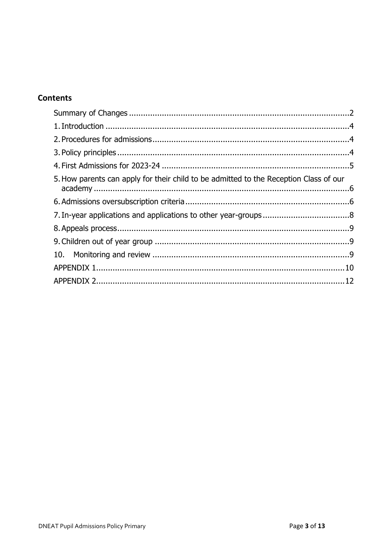## **Contents**

| 5. How parents can apply for their child to be admitted to the Reception Class of our |  |
|---------------------------------------------------------------------------------------|--|
|                                                                                       |  |
|                                                                                       |  |
|                                                                                       |  |
|                                                                                       |  |
|                                                                                       |  |
|                                                                                       |  |
|                                                                                       |  |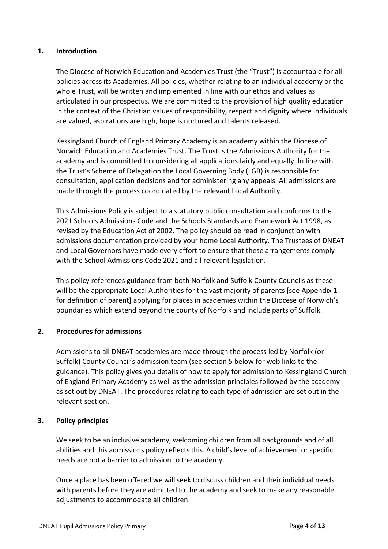#### <span id="page-3-0"></span>**1. Introduction**

The Diocese of Norwich Education and Academies Trust (the "Trust") is accountable for all policies across its Academies. All policies, whether relating to an individual academy or the whole Trust, will be written and implemented in line with our ethos and values as articulated in our prospectus. We are committed to the provision of high quality education in the context of the Christian values of responsibility, respect and dignity where individuals are valued, aspirations are high, hope is nurtured and talents released.

Kessingland Church of England Primary Academy is an academy within the Diocese of Norwich Education and Academies Trust. The Trust is the Admissions Authority for the academy and is committed to considering all applications fairly and equally. In line with the Trust's Scheme of Delegation the Local Governing Body (LGB) is responsible for consultation, application decisions and for administering any appeals. All admissions are made through the process coordinated by the relevant Local Authority.

This Admissions Policy is subject to a statutory public consultation and conforms to the 2021 Schools Admissions Code and the Schools Standards and Framework Act 1998, as revised by the Education Act of 2002. The policy should be read in conjunction with admissions documentation provided by your home Local Authority. The Trustees of DNEAT and Local Governors have made every effort to ensure that these arrangements comply with the School Admissions Code 2021 and all relevant legislation.

This policy references guidance from both Norfolk and Suffolk County Councils as these will be the appropriate Local Authorities for the vast majority of parents [see Appendix 1 for definition of parent] applying for places in academies within the Diocese of Norwich's boundaries which extend beyond the county of Norfolk and include parts of Suffolk.

#### <span id="page-3-1"></span>**2. Procedures for admissions**

Admissions to all DNEAT academies are made through the process led by Norfolk (or Suffolk) County Council's admission team (see section 5 below for web links to the guidance). This policy gives you details of how to apply for admission to Kessingland Church of England Primary Academy as well as the admission principles followed by the academy as set out by DNEAT. The procedures relating to each type of admission are set out in the relevant section.

#### <span id="page-3-2"></span>**3. Policy principles**

We seek to be an inclusive academy, welcoming children from all backgrounds and of all abilities and this admissions policy reflects this. A child's level of achievement or specific needs are not a barrier to admission to the academy.

Once a place has been offered we will seek to discuss children and their individual needs with parents before they are admitted to the academy and seek to make any reasonable adjustments to accommodate all children.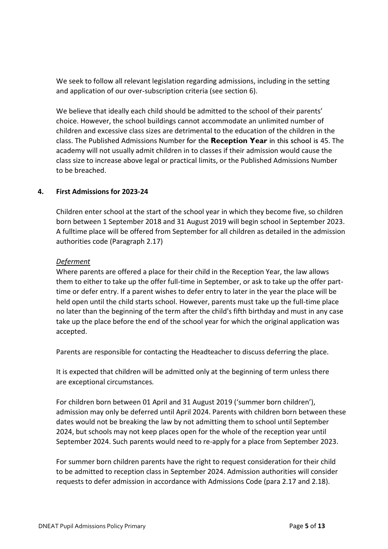We seek to follow all relevant legislation regarding admissions, including in the setting and application of our over-subscription criteria (see section 6).

We believe that ideally each child should be admitted to the school of their parents' choice. However, the school buildings cannot accommodate an unlimited number of children and excessive class sizes are detrimental to the education of the children in the class. The Published Admissions Number for the **Reception Year** in this school is 45. The academy will not usually admit children in to classes if their admission would cause the class size to increase above legal or practical limits, or the Published Admissions Number to be breached.

#### <span id="page-4-0"></span>**4. First Admissions for 2023-24**

Children enter school at the start of the school year in which they become five, so children born between 1 September 2018 and 31 August 2019 will begin school in September 2023. A fulltime place will be offered from September for all children as detailed in the admission authorities code (Paragraph 2.17)

#### *Deferment*

Where parents are offered a place for their child in the Reception Year, the law allows them to either to take up the offer full-time in September, or ask to take up the offer parttime or defer entry. If a parent wishes to defer entry to later in the year the place will be held open until the child starts school. However, parents must take up the full-time place no later than the beginning of the term after the child's fifth birthday and must in any case take up the place before the end of the school year for which the original application was accepted.

Parents are responsible for contacting the Headteacher to discuss deferring the place.

It is expected that children will be admitted only at the beginning of term unless there are exceptional circumstances*.*

For children born between 01 April and 31 August 2019 ('summer born children'), admission may only be deferred until April 2024. Parents with children born between these dates would not be breaking the law by not admitting them to school until September 2024, but schools may not keep places open for the whole of the reception year until September 2024. Such parents would need to re-apply for a place from September 2023.

For summer born children parents have the right to request consideration for their child to be admitted to reception class in September 2024. Admission authorities will consider requests to defer admission in accordance with Admissions Code (para 2.17 and 2.18).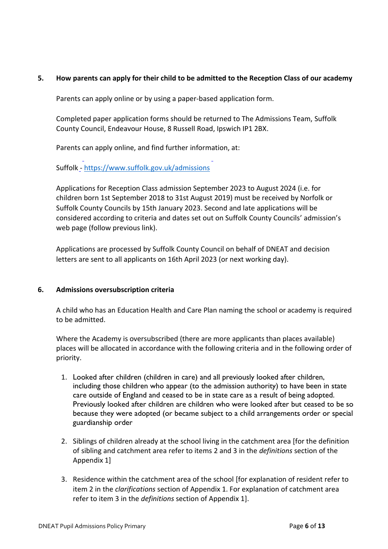#### <span id="page-5-0"></span>**5. How parents can apply for their child to be admitted to the Reception Class of our academy**

Parents can apply online or by using a paper-based application form.

Completed paper application forms should be returned to The Admissions Team, Suffolk County Council, Endeavour House, 8 Russell Road, Ipswich IP1 2BX.

Parents can apply online, and find further information, at:

Suffolk - <https://www.suffolk.gov.uk/admissions>

Applications for Reception Class admission September 2023 to August 2024 (i.e. for children born 1st September 2018 to 31st August 2019) must be received by Norfolk or Suffolk County Councils by 15th January 2023. Second and late applications will be considered according to criteria and dates set out on Suffolk County Councils' admission's web page (follow previous link).

Applications are processed by Suffolk County Council on behalf of DNEAT and decision letters are sent to all applicants on 16th April 2023 (or next working day).

#### <span id="page-5-1"></span>**6. Admissions oversubscription criteria**

A child who has an Education Health and Care Plan naming the school or academy is required to be admitted.

Where the Academy is oversubscribed (there are more applicants than places available) places will be allocated in accordance with the following criteria and in the following order of priority.

- 1. Looked after children (children in care) and all previously looked after children, including those children who appear (to the admission authority) to have been in state care outside of England and ceased to be in state care as a result of being adopted. Previously looked after children are children who were looked after but ceased to be so because they were adopted (or became subject to a child arrangements order or special guardianship order
- 2. Siblings of children already at the school living in the catchment area [for the definition of sibling and catchment area refer to items 2 and 3 in the *definitions* section of the Appendix 1]
- 3. Residence within the catchment area of the school [for explanation of resident refer to item 2 in the *clarifications* section of Appendix 1. For explanation of catchment area refer to item 3 in the *definitions* section of Appendix 1].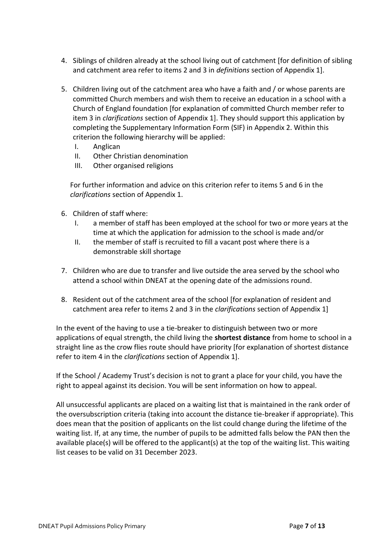- 4. Siblings of children already at the school living out of catchment [for definition of sibling and catchment area refer to items 2 and 3 in *definitions* section of Appendix 1].
- 5. Children living out of the catchment area who have a faith and / or whose parents are committed Church members and wish them to receive an education in a school with a Church of England foundation [for explanation of committed Church member refer to item 3 in *clarifications* section of Appendix 1]. They should support this application by completing the Supplementary Information Form (SIF) in Appendix 2. Within this criterion the following hierarchy will be applied:
	- I. Anglican
	- II. Other Christian denomination
	- III. Other organised religions

For further information and advice on this criterion refer to items 5 and 6 in the *clarifications* section of Appendix 1.

- 6. Children of staff where:
	- I. a member of staff has been employed at the school for two or more years at the time at which the application for admission to the school is made and/or
	- II. the member of staff is recruited to fill a vacant post where there is a demonstrable skill shortage
- 7. Children who are due to transfer and live outside the area served by the school who attend a school within DNEAT at the opening date of the admissions round.
- 8. Resident out of the catchment area of the school [for explanation of resident and catchment area refer to items 2 and 3 in the *clarifications* section of Appendix 1]

In the event of the having to use a tie-breaker to distinguish between two or more applications of equal strength, the child living the **shortest distance** from home to school in a straight line as the crow flies route should have priority [for explanation of shortest distance refer to item 4 in the *clarifications* section of Appendix 1].

If the School / Academy Trust's decision is not to grant a place for your child, you have the right to appeal against its decision. You will be sent information on how to appeal.

All unsuccessful applicants are placed on a waiting list that is maintained in the rank order of the oversubscription criteria (taking into account the distance tie-breaker if appropriate). This does mean that the position of applicants on the list could change during the lifetime of the waiting list. If, at any time, the number of pupils to be admitted falls below the PAN then the available place(s) will be offered to the applicant(s) at the top of the waiting list. This waiting list ceases to be valid on 31 December 2023.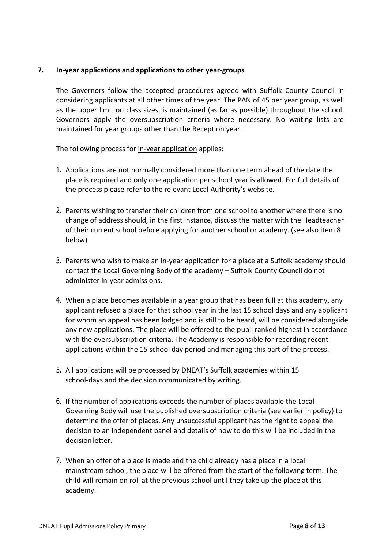#### <span id="page-7-0"></span>**7. In-year applications and applications to other year-groups**

The Governors follow the accepted procedures agreed with Suffolk County Council in considering applicants at all other times of the year. The PAN of 45 per year group, as well as the upper limit on class sizes, is maintained (as far as possible) throughout the school. Governors apply the oversubscription criteria where necessary. No waiting lists are maintained for year groups other than the Reception year.

The following process for in-year application applies:

- 1. Applications are not normally considered more than one term ahead of the date the place is required and only one application per school year is allowed. For full details of the process please refer to the relevant Local Authority's website.
- 2. Parents wishing to transfer their children from one school to another where there is no change of address should, in the first instance, discuss the matter with the Headteacher of their current school before applying for another school or academy. (see also item 8 below)
- 3. Parents who wish to make an in-year application for a place at a Suffolk academy should contact the Local Governing Body of the academy – Suffolk County Council do not administer in-year admissions.
- 4. When a place becomes available in a year group that has been full at this academy, any applicant refused a place for that school year in the last 15 school days and any applicant for whom an appeal has been lodged and is still to be heard, will be considered alongside any new applications. The place will be offered to the pupil ranked highest in accordance with the oversubscription criteria. The Academy is responsible for recording recent applications within the 15 school day period and managing this part of the process.
- 5. All applications will be processed by DNEAT's Suffolk academies within 15 school-days and the decision communicated by writing.
- 6. If the number of applications exceeds the number of places available the Local Governing Body will use the published oversubscription criteria (see earlier in policy) to determine the offer of places. Any unsuccessful applicant has the right to appeal the decision to an independent panel and details of how to do this will be included in the decision letter.
- 7. When an offer of a place is made and the child already has a place in a local mainstream school, the place will be offered from the start of the following term. The child will remain on roll at the previous school until they take up the place at this academy.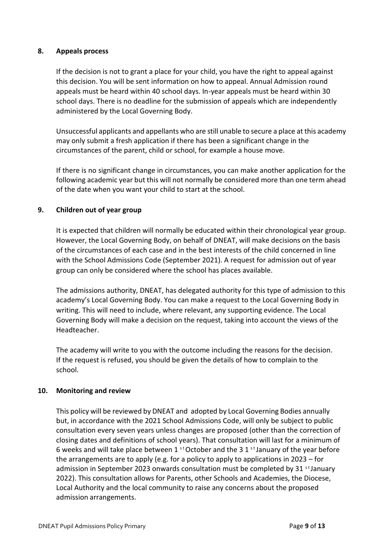#### <span id="page-8-0"></span>**8. Appeals process**

If the decision is not to grant a place for your child, you have the right to appeal against this decision. You will be sent information on how to appeal. Annual Admission round appeals must be heard within 40 school days. In-year appeals must be heard within 30 school days. There is no deadline for the submission of appeals which are independently administered by the Local Governing Body.

Unsuccessful applicants and appellants who are still unable to secure a place at this academy may only submit a fresh application if there has been a significant change in the circumstances of the parent, child or school, for example a house move.

If there is no significant change in circumstances, you can make another application for the following academic year but this will not normally be considered more than one term ahead of the date when you want your child to start at the school.

#### <span id="page-8-1"></span>**9. Children out of year group**

It is expected that children will normally be educated within their chronological year group. However, the Local Governing Body, on behalf of DNEAT, will make decisions on the basis of the circumstances of each case and in the best interests of the child concerned in line with the School Admissions Code (September 2021). A request for admission out of year group can only be considered where the school has places available.

The admissions authority, DNEAT, has delegated authority for this type of admission to this academy's Local Governing Body. You can make a request to the Local Governing Body in writing. This will need to include, where relevant, any supporting evidence. The Local Governing Body will make a decision on the request, taking into account the views of the Headteacher.

The academy will write to you with the outcome including the reasons for the decision. If the request is refused, you should be given the details of how to complain to the school.

#### <span id="page-8-2"></span>**10. Monitoring and review**

This policy will be reviewed by DNEAT and adopted by Local Governing Bodies annually but, in accordance with the 2021 School Admissions Code, will only be subject to public consultation every seven years unless changes are proposed (other than the correction of closing dates and definitions of school years). That consultation will last for a minimum of 6 weeks and will take place between 1 st October and the 3 1 st January of the year before the arrangements are to apply (e.g. for a policy to apply to applications in 2023 – for admission in September 2023 onwards consultation must be completed by 31<sup>st</sup> January 2022). This consultation allows for Parents, other Schools and Academies, the Diocese, Local Authority and the local community to raise any concerns about the proposed admission arrangements.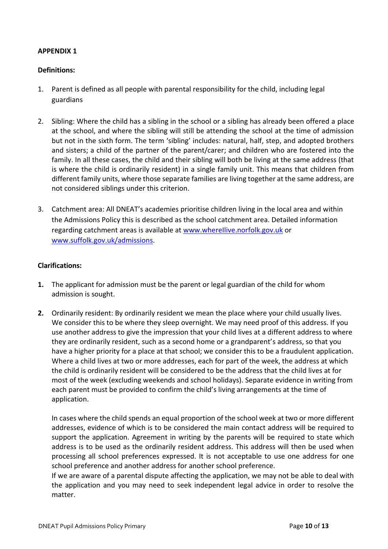#### <span id="page-9-0"></span>**APPENDIX 1**

#### **Definitions:**

- 1. Parent is defined as all people with parental responsibility for the child, including legal guardians
- 2. Sibling: Where the child has a sibling in the school or a sibling has already been offered a place at the school, and where the sibling will still be attending the school at the time of admission but not in the sixth form. The term 'sibling' includes: natural, half, step, and adopted brothers and sisters; a child of the partner of the parent/carer; and children who are fostered into the family. In all these cases, the child and their sibling will both be living at the same address (that is where the child is ordinarily resident) in a single family unit. This means that children from different family units, where those separate families are living together at the same address, are not considered siblings under this criterion.
- 3. Catchment area: All DNEAT's academies prioritise children living in the local area and within the Admissions Policy this is described as the school catchment area. Detailed information regarding catchment areas is available at www.wherellive.norfolk.gov.uk or [www.suffolk.gov.uk/admissions.](http://www.suffolk.gov.uk/admissions)

#### **Clarifications:**

- **1.** The applicant for admission must be the parent or legal guardian of the child for whom admission is sought.
- **2.** Ordinarily resident: By ordinarily resident we mean the place where your child usually lives. We consider this to be where they sleep overnight. We may need proof of this address. If you use another address to give the impression that your child lives at a different address to where they are ordinarily resident, such as a second home or a grandparent's address, so that you have a higher priority for a place at that school; we consider this to be a fraudulent application. Where a child lives at two or more addresses, each for part of the week, the address at which the child is ordinarily resident will be considered to be the address that the child lives at for most of the week (excluding weekends and school holidays). Separate evidence in writing from each parent must be provided to confirm the child's living arrangements at the time of application.

In cases where the child spends an equal proportion of the school week at two or more different addresses, evidence of which is to be considered the main contact address will be required to support the application. Agreement in writing by the parents will be required to state which address is to be used as the ordinarily resident address. This address will then be used when processing all school preferences expressed. It is not acceptable to use one address for one school preference and another address for another school preference.

If we are aware of a parental dispute affecting the application, we may not be able to deal with the application and you may need to seek independent legal advice in order to resolve the matter.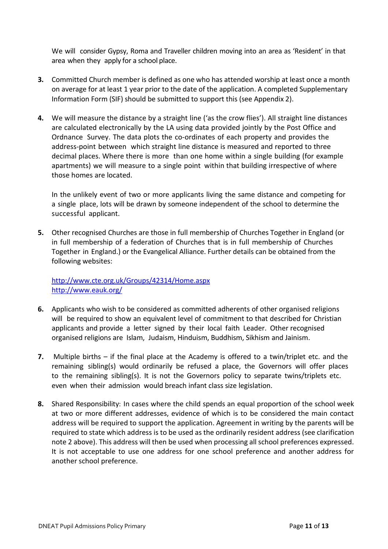We will consider Gypsy, Roma and Traveller children moving into an area as 'Resident' in that area when they apply for a school place.

- **3.** Committed Church member is defined as one who has attended worship at least once a month on average for at least 1 year prior to the date of the application. A completed Supplementary Information Form (SIF) should be submitted to support this (see Appendix 2).
- **4.** We will measure the distance by a straight line ('as the crow flies'). All straight line distances are calculated electronically by the LA using data provided jointly by the Post Office and Ordnance Survey. The data plots the co-ordinates of each property and provides the address-point between which straight line distance is measured and reported to three decimal places. Where there is more than one home within a single building (for example apartments) we will measure to a single point within that building irrespective of where those homes are located.

In the unlikely event of two or more applicants living the same distance and competing for a single place, lots will be drawn by someone independent of the school to determine the successful applicant.

**5.** Other recognised Churches are those in full membership of Churches Together in England (or in full membership of a federation of Churches that is in full membership of Churches Together in England.) or the Evangelical Alliance. Further details can be obtained from the following websites:

<http://www.cte.org.uk/Groups/42314/Home.aspx> <http://www.eauk.org/>

- **6.** Applicants who wish to be considered as committed adherents of other organised religions will be required to show an equivalent level of commitment to that described for Christian applicants and provide a letter signed by their local faith Leader. Other recognised organised religions are Islam, Judaism, Hinduism, Buddhism, Sikhism and Jainism.
- **7.** Multiple births if the final place at the Academy is offered to a twin/triplet etc. and the remaining sibling(s) would ordinarily be refused a place, the Governors will offer places to the remaining sibling(s). It is not the Governors policy to separate twins/triplets etc. even when their admission would breach infant class size legislation.
- **8.** Shared Responsibility: In cases where the child spends an equal proportion of the school week at two or more different addresses, evidence of which is to be considered the main contact address will be required to support the application. Agreement in writing by the parents will be required to state which address is to be used as the ordinarily resident address (see clarification note 2 above). This address will then be used when processing all school preferences expressed. It is not acceptable to use one address for one school preference and another address for another school preference.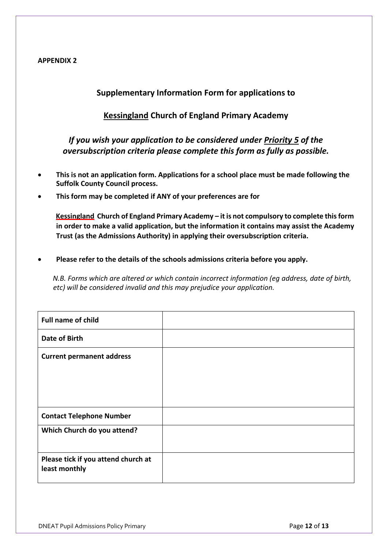#### <span id="page-11-0"></span>**APPENDIX 2**

#### **Supplementary Information Form for applications to**

### **Kessingland Church of England Primary Academy**

## *If you wish your application to be considered under Priority 5 of the oversubscription criteria please complete this form as fully as possible.*

- **This is not an application form. Applications for a school place must be made following the Suffolk County Council process.**
- **This form may be completed if ANY of your preferences are for**

**Kessingland Church of England Primary Academy – it is not compulsory to complete this form in order to make a valid application, but the information it contains may assist the Academy Trust (as the Admissions Authority) in applying their oversubscription criteria.**

• **Please refer to the details of the schools admissions criteria before you apply.**

*N.B. Forms which are altered or which contain incorrect information (eg address, date of birth, etc) will be considered invalid and this may prejudice your application.*

| <b>Full name of child</b>                            |  |
|------------------------------------------------------|--|
| Date of Birth                                        |  |
| <b>Current permanent address</b>                     |  |
|                                                      |  |
|                                                      |  |
|                                                      |  |
| <b>Contact Telephone Number</b>                      |  |
| Which Church do you attend?                          |  |
|                                                      |  |
| Please tick if you attend church at<br>least monthly |  |
|                                                      |  |